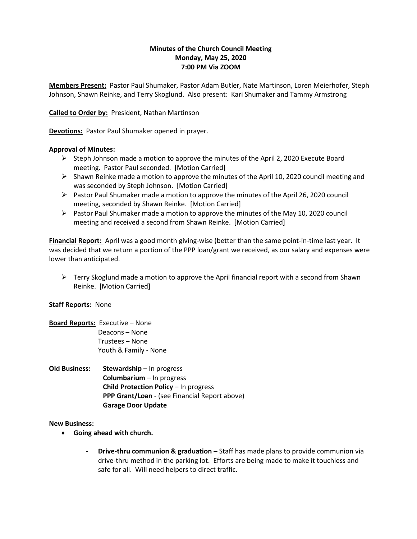## **Minutes of the Church Council Meeting Monday, May 25, 2020 7:00 PM Via ZOOM**

**Members Present:** Pastor Paul Shumaker, Pastor Adam Butler, Nate Martinson, Loren Meierhofer, Steph Johnson, Shawn Reinke, and Terry Skoglund. Also present: Kari Shumaker and Tammy Armstrong

**Called to Order by:** President, Nathan Martinson

**Devotions:** Pastor Paul Shumaker opened in prayer.

### **Approval of Minutes:**

- $\triangleright$  Steph Johnson made a motion to approve the minutes of the April 2, 2020 Execute Board meeting. Pastor Paul seconded. [Motion Carried]
- $\triangleright$  Shawn Reinke made a motion to approve the minutes of the April 10, 2020 council meeting and was seconded by Steph Johnson. [Motion Carried]
- $\triangleright$  Pastor Paul Shumaker made a motion to approve the minutes of the April 26, 2020 council meeting, seconded by Shawn Reinke. [Motion Carried]
- $\triangleright$  Pastor Paul Shumaker made a motion to approve the minutes of the May 10, 2020 council meeting and received a second from Shawn Reinke. [Motion Carried]

**Financial Report:** April was a good month giving-wise (better than the same point-in-time last year. It was decided that we return a portion of the PPP loan/grant we received, as our salary and expenses were lower than anticipated.

 $\triangleright$  Terry Skoglund made a motion to approve the April financial report with a second from Shawn Reinke. [Motion Carried]

# **Staff Reports:** None

- **Board Reports:** Executive None Deacons – None Trustees – None Youth & Family - None
- **Old Business: Stewardship** In progress **Columbarium** – In progress **Child Protection Policy** – In progress **PPP Grant/Loan** - (see Financial Report above) **Garage Door Update**

### **New Business:**

- **Going ahead with church.**
	- **- Drive-thru communion & graduation –** Staff has made plans to provide communion via drive-thru method in the parking lot. Efforts are being made to make it touchless and safe for all. Will need helpers to direct traffic.